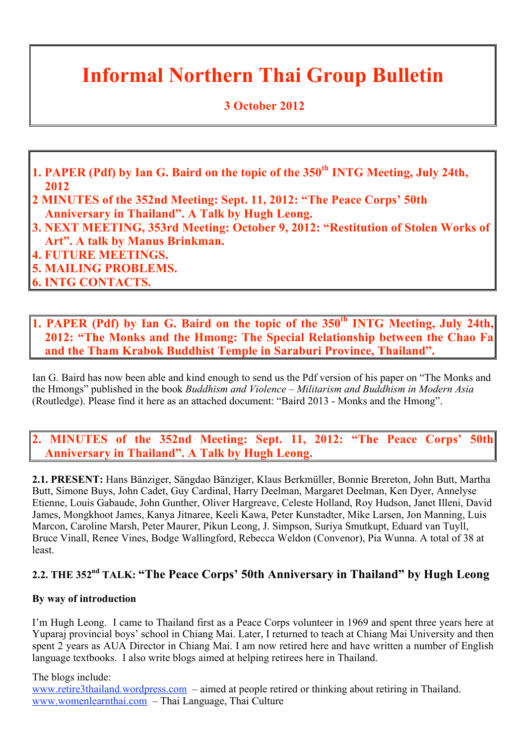# **Informal Northern Thai Group Bulletin**

# **3 October 2012**

- **1. PAPER (Pdf) by Ian G. Baird on the topic of the 350th INTG Meeting, July 24th, 2012**
- **2 MINUTES of the 352nd Meeting: Sept. 11, 2012: "The Peace Corps' 50th Anniversary in Thailand". A Talk by Hugh Leong.**
- **3. NEXT MEETING, 353rd Meeting: October 9, 2012: "Restitution of Stolen Works of Art". A talk by Manus Brinkman.**
- **4. FUTURE MEETINGS.**
- **5. MAILING PROBLEMS.**
- **6. INTG CONTACTS.**

**1. PAPER (Pdf) by Ian G. Baird on the topic of the 350th INTG Meeting, July 24th, 2012: "The Monks and the Hmong: The Special Relationship between the Chao Fa and the Tham Krabok Buddhist Temple in Saraburi Province, Thailand".**

Ian G. Baird has now been able and kind enough to send us the Pdf version of his paper on "The Monks and the Hmongs" published in the book *Buddhism and Violence – Militarism and Buddhism in Modern Asia* (Routledge). Please find it here as an attached document: "Baird 2013 - Monks and the Hmong".

**2. MINUTES of the 352nd Meeting: Sept. 11, 2012: "The Peace Corps' 50th Anniversary in Thailand". A Talk by Hugh Leong.**

**2.1. PRESENT:** Hans Bänziger, Sängdao Bänziger, Klaus Berkmüller, Bonnie Brereton, John Butt, Martha Butt, Simone Buys, John Cadet, Guy Cardinal, Harry Deelman, Margaret Deelman, Ken Dyer, Annelyse Etienne, Louis Gabaude, John Gunther, Oliver Hargreave, Celeste Holland, Roy Hudson, Janet Illeni, David James, Mongkhoot James, Kanya Jitnaree, Keeli Kawa, Peter Kunstadter, Mike Larsen, Jon Manning, Luis Marcon, Caroline Marsh, Peter Maurer, Pikun Leong, J. Simpson, Suriya Smutkupt, Eduard van Tuyll, Bruce Vinall, Renee Vines, Bodge Wallingford, Rebecca Weldon (Convenor), Pia Wunna. A total of 38 at least.

# **2.2. THE 352nd TALK: "The Peace Corps' 50th Anniversary in Thailand" by Hugh Leong**

#### **By way of introduction**

I'm Hugh Leong. I came to Thailand first as a Peace Corps volunteer in 1969 and spent three years here at Yuparaj provincial boys' school in Chiang Mai. Later, I returned to teach at Chiang Mai University and then spent 2 years as AUA Director in Chiang Mai. I am now retired here and have written a number of English language textbooks. I also write blogs aimed at helping retirees here in Thailand.

The blogs include:

www.retire3thailand.wordpress.com – aimed at people retired or thinking about retiring in Thailand. www.womenlearnthai.com – Thai Language, Thai Culture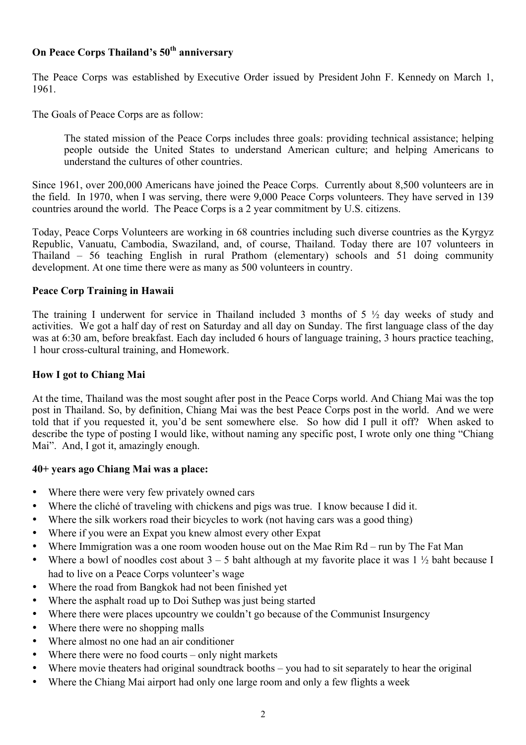# **On Peace Corps Thailand's 50<sup>th</sup> anniversary**

The Peace Corps was established by Executive Order issued by President John F. Kennedy on March 1, 1961.

The Goals of Peace Corps are as follow:

The stated mission of the Peace Corps includes three goals: providing technical assistance; helping people outside the United States to understand American culture; and helping Americans to understand the cultures of other countries.

Since 1961, over 200,000 Americans have joined the Peace Corps. Currently about 8,500 volunteers are in the field. In 1970, when I was serving, there were 9,000 Peace Corps volunteers. They have served in 139 countries around the world. The Peace Corps is a 2 year commitment by U.S. citizens.

Today, Peace Corps Volunteers are working in 68 countries including such diverse countries as the Kyrgyz Republic, Vanuatu, Cambodia, Swaziland, and, of course, Thailand. Today there are 107 volunteers in Thailand – 56 teaching English in rural Prathom (elementary) schools and 51 doing community development. At one time there were as many as 500 volunteers in country.

#### **Peace Corp Training in Hawaii**

The training I underwent for service in Thailand included 3 months of 5 ½ day weeks of study and activities. We got a half day of rest on Saturday and all day on Sunday. The first language class of the day was at 6:30 am, before breakfast. Each day included 6 hours of language training, 3 hours practice teaching, 1 hour cross-cultural training, and Homework.

#### **How I got to Chiang Mai**

At the time, Thailand was the most sought after post in the Peace Corps world. And Chiang Mai was the top post in Thailand. So, by definition, Chiang Mai was the best Peace Corps post in the world. And we were told that if you requested it, you'd be sent somewhere else. So how did I pull it off? When asked to describe the type of posting I would like, without naming any specific post, I wrote only one thing "Chiang Mai". And, I got it, amazingly enough.

#### **40+ years ago Chiang Mai was a place:**

- Where there were very few privately owned cars
- Where the cliché of traveling with chickens and pigs was true. I know because I did it.
- Where the silk workers road their bicycles to work (not having cars was a good thing)
- Where if you were an Expat you knew almost every other Expat
- Where Immigration was a one room wooden house out on the Mae Rim Rd run by The Fat Man
- Where a bowl of noodles cost about  $3 5$  baht although at my favorite place it was  $1\frac{1}{2}$  baht because I had to live on a Peace Corps volunteer's wage
- Where the road from Bangkok had not been finished yet
- Where the asphalt road up to Doi Suthep was just being started
- Where there were places upcountry we couldn't go because of the Communist Insurgency
- Where there were no shopping malls
- Where almost no one had an air conditioner
- Where there were no food courts only night markets
- Where movie theaters had original soundtrack booths you had to sit separately to hear the original
- Where the Chiang Mai airport had only one large room and only a few flights a week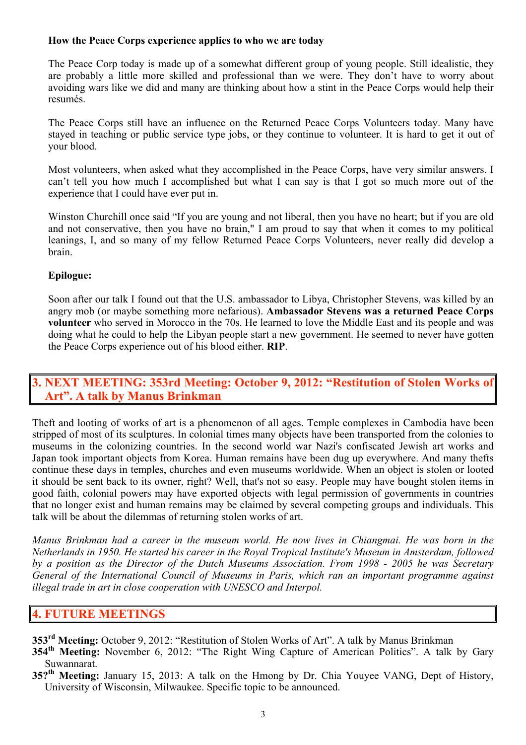#### **How the Peace Corps experience applies to who we are today**

The Peace Corp today is made up of a somewhat different group of young people. Still idealistic, they are probably a little more skilled and professional than we were. They don't have to worry about avoiding wars like we did and many are thinking about how a stint in the Peace Corps would help their resumés.

The Peace Corps still have an influence on the Returned Peace Corps Volunteers today. Many have stayed in teaching or public service type jobs, or they continue to volunteer. It is hard to get it out of your blood.

Most volunteers, when asked what they accomplished in the Peace Corps, have very similar answers. I can't tell you how much I accomplished but what I can say is that I got so much more out of the experience that I could have ever put in.

Winston Churchill once said "If you are young and not liberal, then you have no heart; but if you are old and not conservative, then you have no brain," I am proud to say that when it comes to my political leanings, I, and so many of my fellow Returned Peace Corps Volunteers, never really did develop a brain.

#### **Epilogue:**

Soon after our talk I found out that the U.S. ambassador to Libya, Christopher Stevens, was killed by an angry mob (or maybe something more nefarious). **Ambassador Stevens was a returned Peace Corps volunteer** who served in Morocco in the 70s. He learned to love the Middle East and its people and was doing what he could to help the Libyan people start a new government. He seemed to never have gotten the Peace Corps experience out of his blood either. **RIP**.

# **3. NEXT MEETING: 353rd Meeting: October 9, 2012: "Restitution of Stolen Works of Art". A talk by Manus Brinkman**

Theft and looting of works of art is a phenomenon of all ages. Temple complexes in Cambodia have been stripped of most of its sculptures. In colonial times many objects have been transported from the colonies to museums in the colonizing countries. In the second world war Nazi's confiscated Jewish art works and Japan took important objects from Korea. Human remains have been dug up everywhere. And many thefts continue these days in temples, churches and even museums worldwide. When an object is stolen or looted it should be sent back to its owner, right? Well, that's not so easy. People may have bought stolen items in good faith, colonial powers may have exported objects with legal permission of governments in countries that no longer exist and human remains may be claimed by several competing groups and individuals. This talk will be about the dilemmas of returning stolen works of art.

*Manus Brinkman had a career in the museum world. He now lives in Chiangmai. He was born in the Netherlands in 1950. He started his career in the Royal Tropical Institute's Museum in Amsterdam, followed by a position as the Director of the Dutch Museums Association. From 1998 - 2005 he was Secretary General of the International Council of Museums in Paris, which ran an important programme against illegal trade in art in close cooperation with UNESCO and Interpol.*

### **4. FUTURE MEETINGS**

- **353rd Meeting:** October 9, 2012: "Restitution of Stolen Works of Art". A talk by Manus Brinkman
- **354th Meeting:** November 6, 2012: "The Right Wing Capture of American Politics". A talk by Gary Suwannarat.
- **35?th Meeting:** January 15, 2013: A talk on the Hmong by Dr. Chia Youyee VANG, Dept of History, University of Wisconsin, Milwaukee. Specific topic to be announced.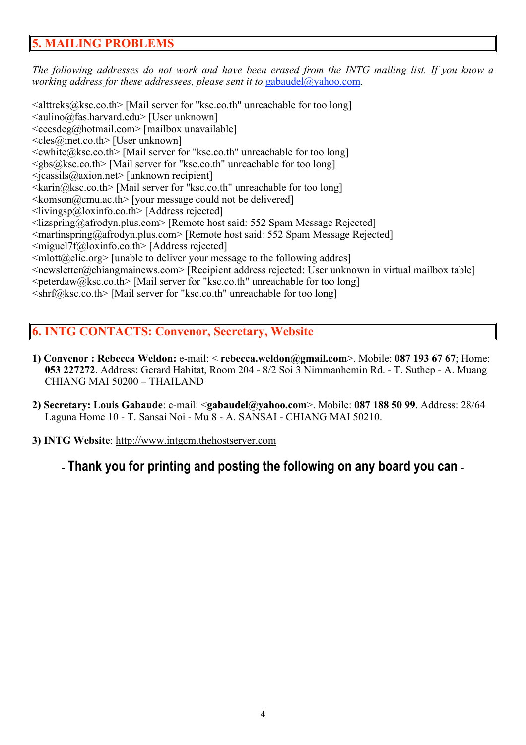# **5. MAILING PROBLEMS**

*The following addresses do not work and have been erased from the INTG mailing list. If you know a working address for these addressees, please sent it to gabaudel@yahoo.com.* 

<alttreks@ksc.co.th> [Mail server for "ksc.co.th" unreachable for too long]  $\leq$ aulino@fas.harvard.edu $\geq$  [User unknown]  $\leq$ ceesdeg@hotmail.com> [mailbox unavailable] <cles@inet.co.th> [User unknown] <ewhite@ksc.co.th> [Mail server for "ksc.co.th" unreachable for too long]  $\langle \text{gbs}(\hat{\alpha})$ ksc.co.th> [Mail server for "ksc.co.th" unreachable for too long]  $\langle$ icassils@axion.net> [unknown recipient]  $\langle \text{karin}(\hat{\omega}|\text{ksc.co.th}\rangle)$  [Mail server for "ksc.co.th" unreachable for too long]  $\leq$ komson@cmu.ac.th> [your message could not be delivered]  $\langle$ livingsp@loxinfo.co.th> [Address rejected]  $\langle$ lizspring@afrodyn.plus.com> [Remote host said: 552 Spam Message Rejected]  $\leq$ martinspring@afrodyn.plus.com> [Remote host said: 552 Spam Message Rejected]  $\leq$ miguel7f@loxinfo.co.th> [Address rejected]  $\leq$ mlott $\omega$ elic.org lunable to deliver your message to the following addres  $\le$ newsletter@chiangmainews.com> [Recipient address rejected: User unknown in virtual mailbox table]  $\leq$ peterdaw@ksc.co.th> [Mail server for "ksc.co.th" unreachable for too long] <shrf@ksc.co.th> [Mail server for "ksc.co.th" unreachable for too long]

# **6. INTG CONTACTS: Convenor, Secretary, Website**

- **1) Convenor : Rebecca Weldon:** e-mail: < **rebecca.weldon@gmail.com**>. Mobile: **087 193 67 67**; Home: **053 227272**. Address: Gerard Habitat, Room 204 - 8/2 Soi 3 Nimmanhemin Rd. - T. Suthep - A. Muang CHIANG MAI 50200 – THAILAND
- **2) Secretary: Louis Gabaude**: e-mail: <**gabaudel@yahoo.com**>. Mobile: **087 188 50 99**. Address: 28/64 Laguna Home 10 - T. Sansai Noi - Mu 8 - A. SANSAI - CHIANG MAI 50210.

**3) INTG Website**: http://www.intgcm.thehostserver.com

- **Thank you for printing and posting the following on any board you can** -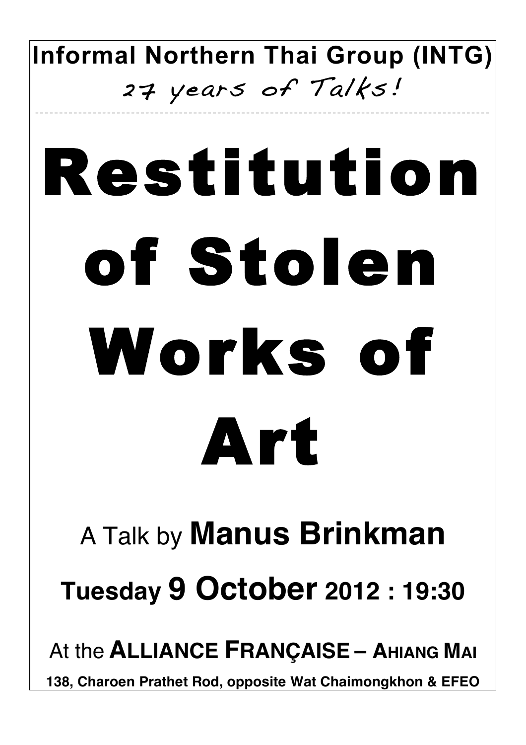# **Informal Northern Thai Group (INTG)** 27 years of Talks! \_\_\_\_\_\_\_\_\_\_\_\_\_\_\_\_\_\_\_\_\_\_\_\_\_\_\_\_\_\_\_\_\_\_\_\_\_\_\_\_\_\_\_\_\_\_\_\_\_\_\_\_\_\_\_\_\_\_\_\_\_\_\_\_\_\_\_\_\_\_\_\_\_\_ \_\_\_\_\_\_\_\_\_\_\_\_\_\_\_\_\_\_\_\_\_ Restitution of Stolen Works of Art A Talk by **Manus Brinkman Tuesday 9 October 2012 : 19:30**

At the **ALLIANCE FRANÇAISE – AHIANG MAI**

**138, Charoen Prathet Rod, opposite Wat Chaimongkhon & EFEO**